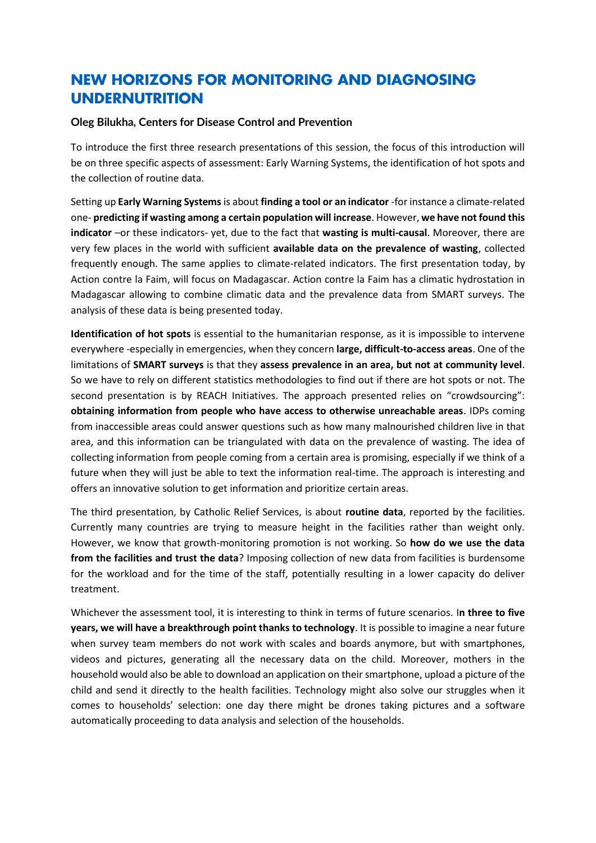## **NEW HORIZONS FOR MONITORING AND DIAGNOSING UNDERNUTRITION**

## **Oleg Bilukha, Centers for Disease Control and Prevention**

To introduce the first three research presentations of this session, the focus of this introduction will be on three specific aspects of assessment: Early Warning Systems, the identification of hot spots and the collection of routine data.

Setting up **Early Warning Systems**is about **finding a tool or an indicator** -for instance a climate-related one- **predicting if wasting among a certain population will increase**. However, **we have not found this indicator** –or these indicators- yet, due to the fact that **wasting is multi-causal**. Moreover, there are very few places in the world with sufficient **available data on the prevalence of wasting**, collected frequently enough. The same applies to climate-related indicators. The first presentation today, by Action contre la Faim, will focus on Madagascar. Action contre la Faim has a climatic hydrostation in Madagascar allowing to combine climatic data and the prevalence data from SMART surveys. The analysis of these data is being presented today.

**Identification of hot spots** is essential to the humanitarian response, as it is impossible to intervene everywhere -especially in emergencies, when they concern **large, difficult-to-access areas**. One of the limitations of **SMART surveys** is that they **assess prevalence in an area, but not at community level**. So we have to rely on different statistics methodologies to find out if there are hot spots or not. The second presentation is by REACH Initiatives. The approach presented relies on "crowdsourcing": **obtaining information from people who have access to otherwise unreachable areas**. IDPs coming from inaccessible areas could answer questions such as how many malnourished children live in that area, and this information can be triangulated with data on the prevalence of wasting. The idea of collecting information from people coming from a certain area is promising, especially if we think of a future when they will just be able to text the information real-time. The approach is interesting and offers an innovative solution to get information and prioritize certain areas.

The third presentation, by Catholic Relief Services, is about **routine data**, reported by the facilities. Currently many countries are trying to measure height in the facilities rather than weight only. However, we know that growth-monitoring promotion is not working. So **how do we use the data from the facilities and trust the data**? Imposing collection of new data from facilities is burdensome for the workload and for the time of the staff, potentially resulting in a lower capacity do deliver treatment.

Whichever the assessment tool, it is interesting to think in terms of future scenarios. I**n three to five years, we will have a breakthrough point thanks to technology**. It is possible to imagine a near future when survey team members do not work with scales and boards anymore, but with smartphones, videos and pictures, generating all the necessary data on the child. Moreover, mothers in the household would also be able to download an application on their smartphone, upload a picture of the child and send it directly to the health facilities. Technology might also solve our struggles when it comes to households' selection: one day there might be drones taking pictures and a software automatically proceeding to data analysis and selection of the households.